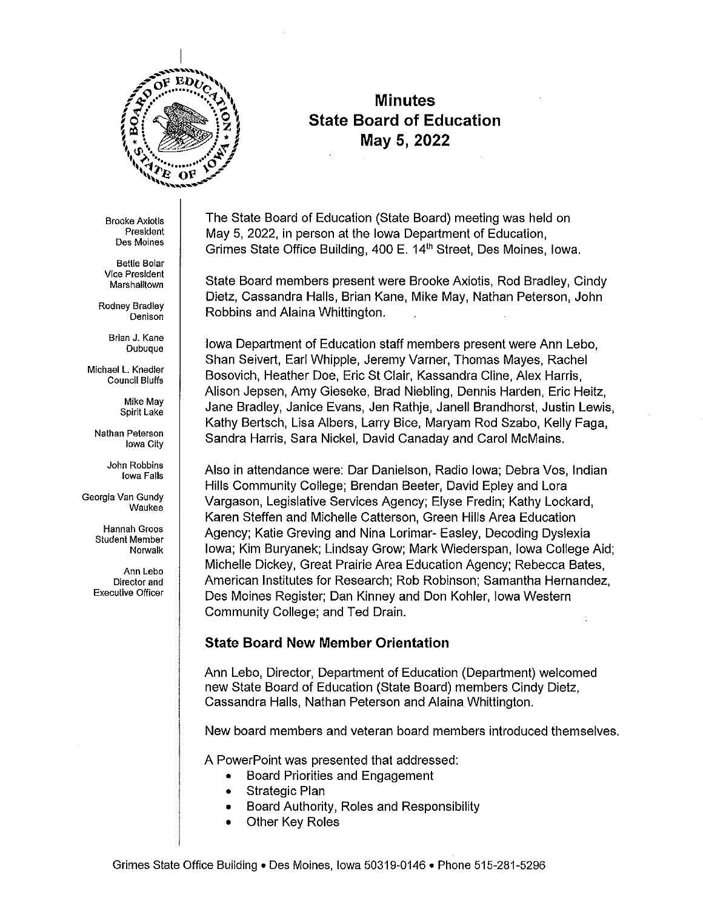

# **Minutes State Board of Education May 5, 2022**

**Brooke Axiotis**  President **Des Moines** 

**Bettie Bolar Vice President Marshalltown** 

Rodney Bradley **Denison** 

> Brian J. Kane Dubuque

Michael L. Knedler Council Bluffs

> Mike May Spirit Lake

**Nathan Peterson**  Iowa City

> John Robbins **Iowa Falls**

**Georgia Van Gundy Waukee** 

> **Hannah Groos Student Member**  Norwalk

**Ann Lebo Director and Executive Officer** 

The State Board of Education (State Board) meeting was held on May 5, 2022, in person at the Iowa Department of Education, Grimes State Office Building, 400 E. 14<sup>th</sup> Street, Des Moines, Iowa.

State Board members present were Brooke Axiotis, Rod Bradley, Cindy Dietz, Cassandra Halls, Brian Kane, Mike May, Nathan Peterson, John Robbins and Alaina Whittington.

Iowa Department of Education staff members present were Ann Lebo, Shan Seivert, Earl Whipple, Jeremy Varner, Thomas Mayes, Rachel Bosovich, Heather Doe, Eric St Clair, Kassandra Cline, Alex Harris, Alison Jepsen, Amy Gieseke, Brad Niebling, Dennis Harden, Eric Heitz, Jane Bradley, Janice Evans, Jen Rathje, Janell Brandhorst, Justin Lewis, Kathy Bertsch, Lisa Albers, Larry Bice, Maryam Rod Szabo, Kelly Faga, Sandra Harris, Sara Nickel, David Canaday and Carol McMains.

Also in attendance were: Dar Danielson, Radio Iowa; Debra Vos, Indian Hills Community College; Brendan Beeler, David Epley and Lora Vargason, Legislative Services Agency; Elyse Fredin; Kathy Lockard, Karen Steffen and Michelle Catterson, Green Hills Area Education Agency; Katie Greving and Nina Lorimar- Easley, Decoding Dyslexia Iowa; Kim Buryanek; Lindsay Grow; Mark Wiederspan, Iowa College Aid; Michelle Dickey, Great Prairie Area Education Agency; Rebecca Bates, American Institutes for Research; Rob Robinson; Samantha Hernandez, Des Moines Register; Dan Kinney and Don Kohler, Iowa Western Community College; and Ted Drain.

# **State Board New Member Orientation**

Ann Lebo, Director, Department of Education (Department) welcomed new State Board of Education (State Board) members Cindy Dietz, Cassandra Halls, Nathan Peterson and Alaina Whittington.

New board members and veteran board members introduced themselves.

A PowerPoint was presented that addressed:

- Board Priorities and Engagement
- Strategic Plan
- Board Authority, Roles and Responsibility
- **Other Key Roles**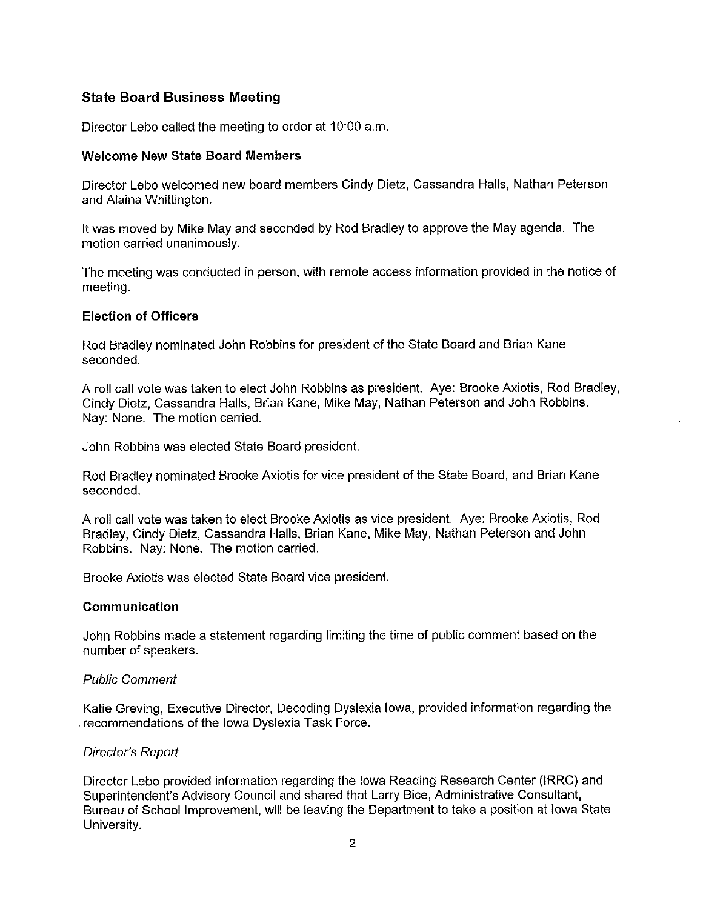# **State Board Business Meeting**

Director Lebo called the meeting to order at 10:00 a.m.

### **Welcome New State Board Members**

Director Lebo welcomed new board members Cindy Dietz, Cassandra Halls, Nathan Peterson and Alaina Whittington.

It was moved by Mike May and seconded by Rod Bradley to approve the May agenda. The motion carried unanimously.

The meeting was conducted in person, with remote access information provided in the notice of meeting .

### **Election of Officers**

Rod Bradley nominated John Robbins for president of the State Board and Brian Kane seconded.

A roll call vote was taken to elect John Robbins as president. Aye: Brooke Axiotis, Rod Bradley, Cindy Dietz, Cassandra Halls, Brian Kane, Mike May, Nathan Peterson and John Robbins. Nay: None. The motion carried.

John Robbins was elected State Board president.

Rod Bradley nominated Brooke Axiotis for vice president of the State Board, and Brian Kane seconded.

A roll call vote was taken to elect Brooke Axiotis as vice president. Aye: Brooke Axiotis, Rod Bradley, Cindy Dietz, Cassandra Halls, Brian Kane, Mike May, Nathan Peterson and John Robbins. Nay: None. The motion carried.

Brooke Axiotis was elected State Board vice president.

#### **Communication**

John Robbins made a statement regarding limiting the time of public comment based on the number of speakers.

#### Public Comment

Katie Greving, Executive Director, Decoding Dyslexia Iowa, provided information regarding the . recommendations of the Iowa Dyslexia Task Force.

#### Director's Report

Director Lebo provided information regarding the Iowa Reading Research Center (IRRC) and Superintendent's Advisory Council and shared that Larry Bice, Administrative Consultant, Bureau of School Improvement, will be leaving the Department to take a position at Iowa State University.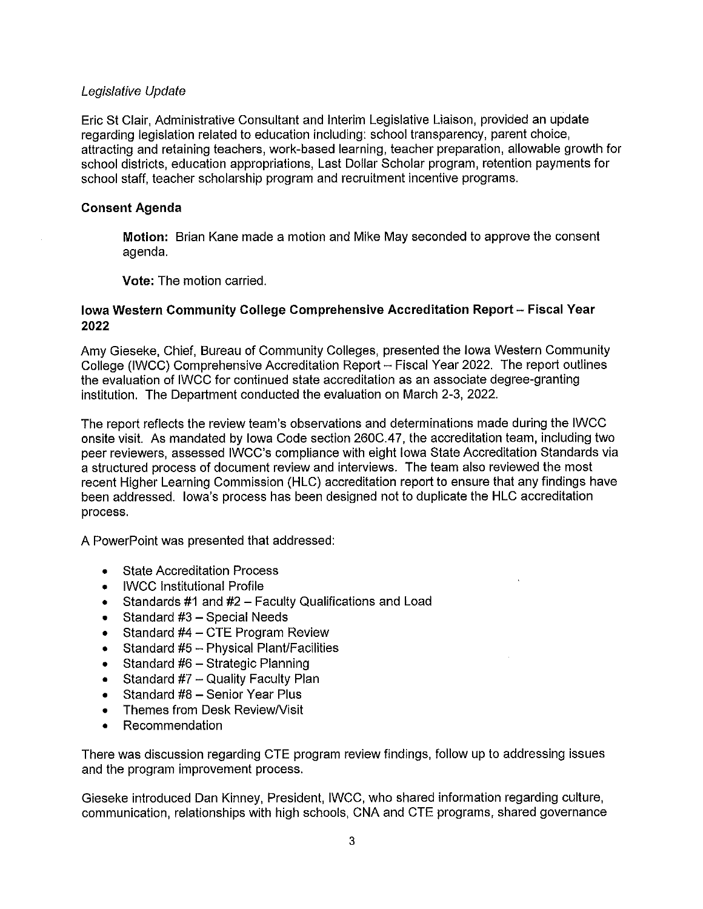### Legislative Update

Eric St Clair, Administrative Consultant and Interim Legislative Liaison, provided an update regarding legislation related to education including: school transparency, parent choice, attracting and retaining teachers, work-based learning, teacher preparation, allowable growth for school districts, education appropriations, Last Dollar Scholar program, retention payments for school staff, teacher scholarship program and recruitment incentive programs.

### **Consent Agenda**

**Motion:** Brian Kane made a motion and Mike May seconded to approve the consent agenda.

**Vote:** The motion carried.

### **Iowa Western Community College Comprehensive Accreditation Report- Fiscal Year 2022**

Amy Gieseke, Chief, Bureau of Community Colleges, presented the Iowa Western Community College (IWCC) Comprehensive Accreditation Report - Fiscal Year 2022. The report outlines the evaluation of IWCC for continued state accreditation as an associate degree-granting institution. The Department conducted the evaluation on March 2-3, 2022.

The report reflects the review team's observations and determinations made during the IWCC onsite visit. As mandated by Iowa Code section 260C.47, the accreditation team, including two peer reviewers, assessed IWCC's compliance with eight Iowa State Accreditation Standards via a structured process of document review and interviews. The team also reviewed the most recent Higher Learning Commission (HLC) accreditation report to ensure that any findings have been addressed. Iowa's process has been designed not to duplicate the HLC accreditation process.

A PowerPoint was presented that addressed:

- State Accreditation Process
- IWCC Institutional Profile
- Standards #1 and #2 Faculty Qualifications and Load
- Standard  $#3$  Special Needs
- Standard  $#4 CTE$  Program Review
- Standard #5 Physical Plant/Facilities
- Standard #6 Strategic Planning
- Standard  $#7 -$  Quality Faculty Plan
- Standard #8 Senior Year Plus
- Themes from Desk ReviewNisit
- Recommendation

There was discussion regarding CTE program review findings, follow up to addressing issues and the program improvement process.

Gieseke introduced Dan Kinney, President, IWCC, who shared information regarding culture, communication, relationships with high schools, CNA and CTE programs, shared governance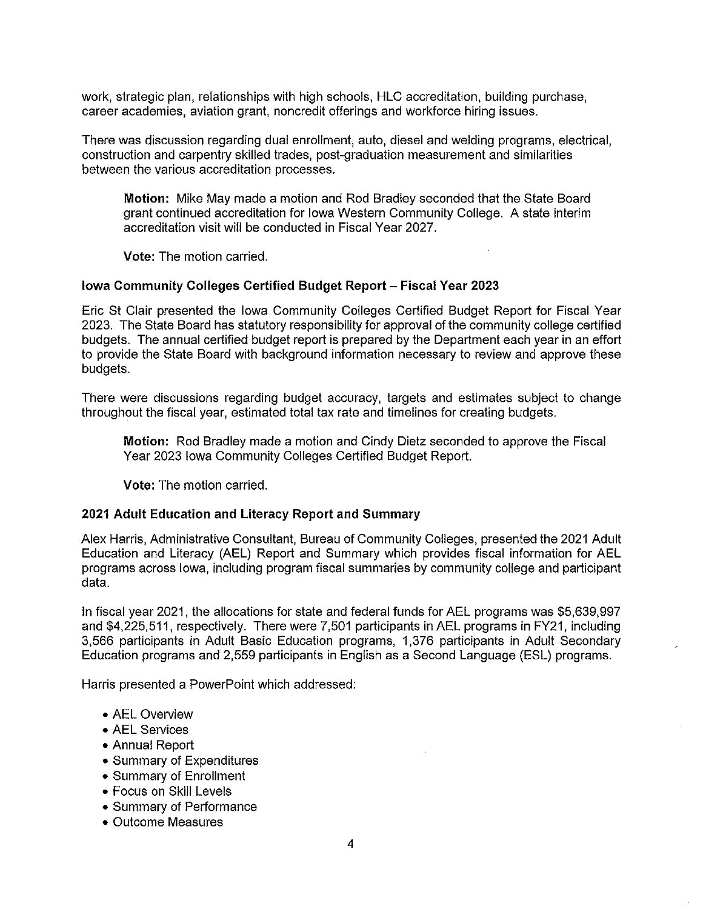work, strategic plan, relationships with high schools, HLC accreditation, building purchase, career academies, aviation grant, noncredit offerings and workforce hiring issues.

There was discussion regarding dual enrollment, auto, diesel and welding programs, electrical, construction and carpentry skilled trades, post-graduation measurement and similarities between the various accreditation processes.

**Motion:** Mike May made a motion and Rod Bradley seconded that the State Board grant continued accreditation for Iowa Western Community College. A state interim accreditation visit will be conducted in Fiscal Year 2027.

**Vote:** The motion carried.

#### **Iowa Community Colleges Certified Budget Report- Fiscal Year 2023**

Eric St Clair presented the Iowa Community Colleges Certified Budget Report for Fiscal Year 2023. The State Board has statutory responsibility for approval of the community college certified budgets. The annual certified budget report is prepared by the Department each year in an effort to provide the State Board with background information necessary to review and approve these budgets.

There were discussions regarding budget accuracy, targets and estimates subject to change throughout the fiscal year, estimated total tax rate and timelines for creating budgets.

**Motion:** Rod Bradley made a motion and Cindy Dietz seconded to approve the Fiscal Year 2023 Iowa Community Colleges Certified Budget Report.

**Vote:** The motion carried.

#### **2021 Adult Education and Literacy Report and Summary**

Alex Harris, Administrative Consultant, Bureau of Community Colleges, presented the 2021 Adult Education and Literacy (AEL) Report and Summary which provides fiscal information for AEL programs across Iowa, including program fiscal summaries by community college and participant data.

In fiscal year 2021, the allocations for state and federal funds for AEL programs was \$5,639,997 and \$4,225,511, respectively. There were 7,501 participants in AEL programs in FY21, including 3,566 participants in Adult Basic Education programs, 1,376 participants in Adult Secondary Education programs and 2,559 participants in English as a Second Language (ESL) programs.

Harris presented a PowerPoint which addressed:

- AEL Overview
- AEL Services
- Annual Report
- Summary of Expenditures
- Summary of Enrollment
- Focus on Skill Levels
- Summary of Performance
- Outcome Measures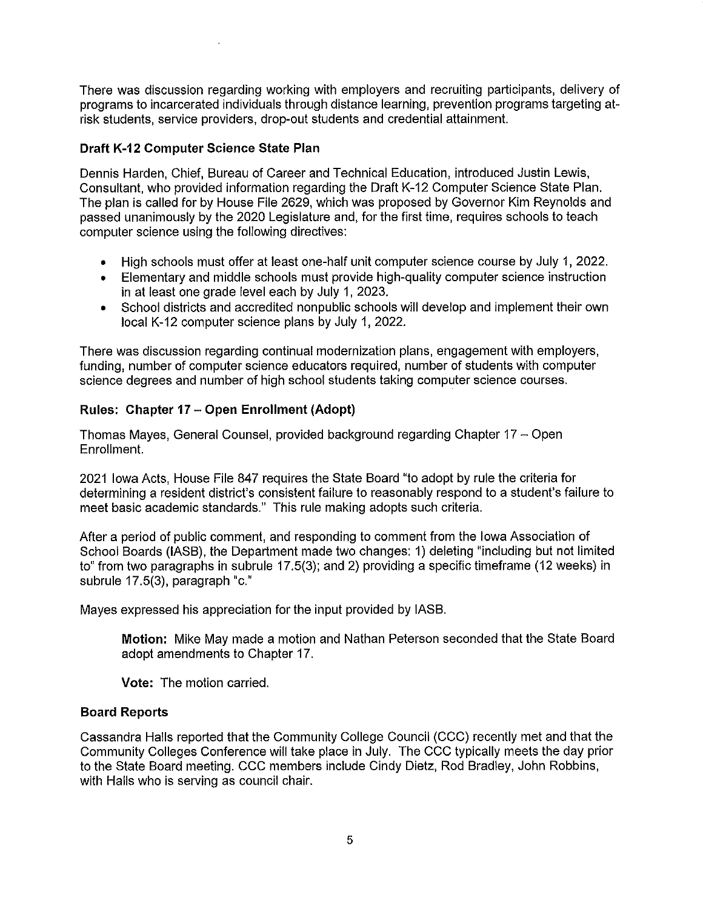There was discussion regarding working with employers and recruiting participants, delivery of programs to incarcerated individuals through distance learning, prevention programs targeting atrisk students, service providers, drop-out students and credential attainment.

### **Draft K-12 Computer Science State Plan**

Dennis Harden, Chief, Bureau of Career and Technical Education, introduced Justin Lewis, Consultant, who provided information regarding the Draft K-12 Computer Science State Plan. The plan is called for by House File 2629, which was proposed by Governor Kim Reynolds and passed unanimously by the 2020 Legislature and, for the first time, requires schools to teach computer science using the following directives:

- High schools must offer at least one-half unit computer science course by July 1, 2022.
- Elementary and middle schools must provide high-quality computer science instruction in at least one grade level each by July 1, 2023.
- School districts and accredited nonpublic schools will develop and implement their own local K-12 computer science plans by July 1, 2022.

There was discussion regarding continual modernization plans, engagement with employers, funding, number of computer science educators required, number of students with computer science degrees and number of high school students taking computer science courses.

# **Rules: Chapter 17 - Open Enrollment (Adopt)**

Thomas Mayes, General Counsel, provided background regarding Chapter 17 - Open Enrollment.

2021 Iowa Acts, House File 847 requires the State Board "to adopt by rule the criteria for determining a resident district's consistent failure to reasonably respond to a student's failure to meet basic academic standards." This rule making adopts such criteria.

After a period of public comment, and responding to comment from the Iowa Association of School Boards (IASB), the Department made two changes: 1) deleting "including but not limited to" from two paragraphs in subrule 17.5(3); and 2) providing a specific timeframe (12 weeks) in subrule 17.5(3), paragraph "c."

Mayes expressed his appreciation for the input provided by IASB.

**Motion:** Mike May made a motion and Nathan Peterson seconded that the State Board adopt amendments to Chapter 17.

**Vote:** The motion carried.

### **Board Reports**

Cassandra Halls reported that the Community College Council (CCC) recently met and that the Community Colleges Conference will take place in July. The CCC typically meets the day prior to the State Board meeting. CCC members include Cindy Dietz, Rod Bradley, John Robbins, with Halls who is serving as council chair.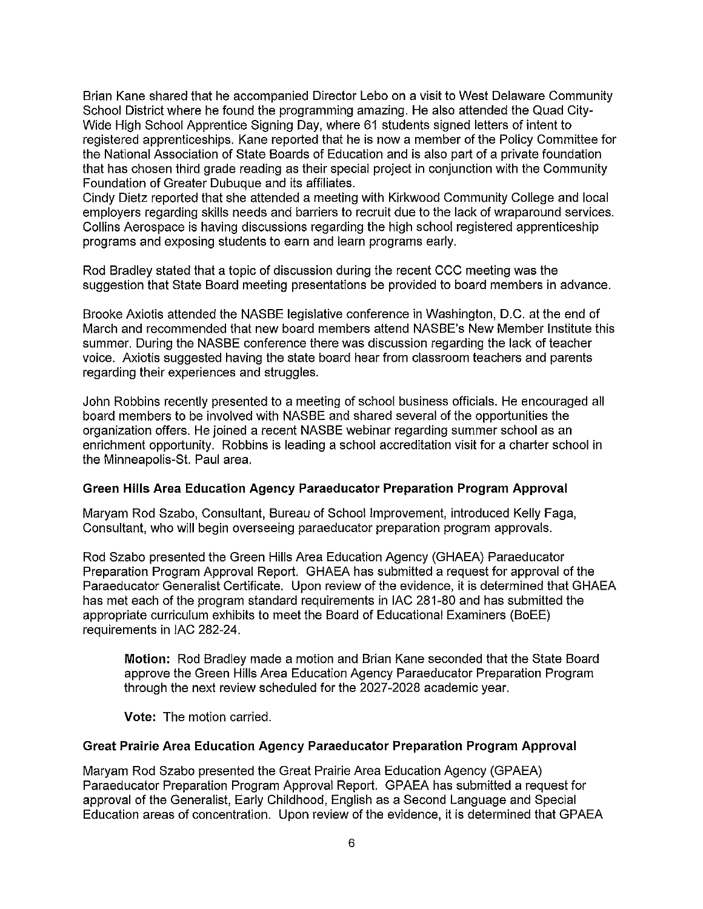Brian Kane shared that he accompanied Director Lebo on a visit to West Delaware Community School District where he found the programming amazing. He also attended the Quad City-Wide High School Apprentice Signing Day, where 61 students signed letters of intent to registered apprenticeships. Kane reported that he is now a member of the Policy Committee for the National Association of State Boards of Education and is also part of a private foundation that has chosen third grade reading as their special project in conjunction with the Community Foundation of Greater Dubuque and its affiliates.

Cindy Dietz reported that she attended a meeting with Kirkwood Community College and local employers regarding skills needs and barriers to recruit due to the lack of wraparound services. Collins Aerospace is having discussions regarding the high school registered apprenticeship programs and exposing students to earn and learn programs early.

Rod Bradley stated that a topic of discussion during the recent CCC meeting was the suggestion that State Board meeting presentations be provided to board members in advance.

Brooke Axiotis attended the NASBE legislative conference in Washington, D.C. at the end of March and recommended that new board members attend NASBE's New Member Institute this summer. During the NASBE conference there was discussion regarding the lack of teacher voice. Axiotis suggested having the state board hear from classroom teachers and parents regarding their experiences and struggles.

John Robbins recently presented to a meeting of school business officials. He encouraged all board members to be involved with NASBE and shared several of the opportunities the organization offers. He joined a recent NASBE webinar regarding summer school as an enrichment opportunity. Robbins is leading a school accreditation visit for a charter school in the Minneapolis-St. Paul area.

#### **Green Hills Area Education Agency Paraeducator Preparation Program Approval**

Maryam Rod Szabo, Consultant, Bureau of School Improvement, introduced Kelly Faga, Consultant, who will begin overseeing paraeducator preparation program approvals.

Rod Szabo presented the Green Hills Area Education Agency (GHAEA) Paraeducator Preparation Program Approval Report. GHAEA has submitted a request for approval of the Paraeducator Generalist Certificate. Upon review of the evidence, it is determined that GHAEA has met each of the program standard requirements in IAC 281-80 and has submitted the appropriate curriculum exhibits to meet the Board of Educational Examiners (BoEE) requirements in IAC 282-24.

**Motion:** Rod Bradley made a motion and Brian Kane seconded that the State Board approve the Green Hills Area Education Agency Paraeducator Preparation Program through the next review scheduled for the 2027-2028 academic year.

**Vote:** The motion carried.

#### **Great Prairie Area Education Agency Paraeducator Preparation Program Approval**

Maryam Rod Szabo presented the Great Prairie Area Education Agency (GPAEA) Paraeducator Preparation Program Approval Report. GPAEA has submitted a request for approval of the Generalist, Early Childhood, English as a Second Language and Special Education areas of concentration. Upon review of the evidence, it is determined that GPAEA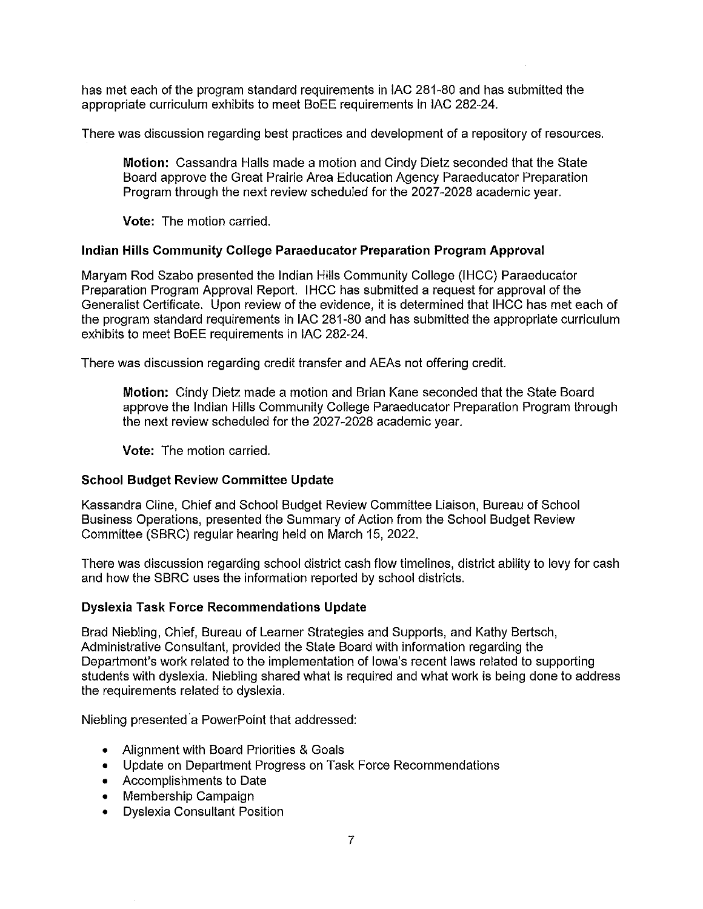has met each of the program standard requirements in !AC 281-80 and has submitted the appropriate curriculum exhibits to meet BoEE requirements in !AC 282-24.

There was discussion regarding best practices and development of a repository of resources.

**Motion:** Cassandra Halls made a motion and Cindy Dietz seconded that the State Board approve the Great Prairie Area Education Agency Paraeducator Preparation Program through the next review scheduled for the 2027-2028 academic year.

**Vote:** The motion carried.

# **Indian Hills Community College Paraeducator Preparation Program Approval**

Maryam Rod Szabo presented the Indian Hills Community College (!HCC) Paraeducator Preparation Program Approval Report. !HCC has submitted a request for approval of the Generalist Certificate. Upon review of the evidence, it is determined that !HCC has met each of the program standard requirements in !AC 281-80 and has submitted the appropriate curriculum exhibits to meet BoEE requirements in !AC 282-24.

There was discussion regarding credit transfer and AEAs not offering credit.

**Motion:** Cindy Dietz made a motion and Brian Kane seconded that the State Board approve the Indian Hills Community College Paraeducator Preparation Program through the next review scheduled for the 2027-2028 academic year.

**Vote:** The motion carried.

# **School Budget Review Committee Update**

Kassandra Cline, Chief and School Budget Review Committee Liaison, Bureau of School Business Operations, presented the Summary of Action from the School Budget Review Committee (SBRC) regular hearing held on March 15, 2022.

There was discussion regarding school district cash flow timelines, district ability to levy for cash and how the SBRC uses the information reported by school districts.

# **Dyslexia Task Force Recommendations Update**

Brad Niebling, Chief, Bureau of Learner Strategies and Supports, and Kathy Bertsch, Administrative Consultant, provided the State Board with information regarding the Department's work related to the implementation of Iowa's recent laws related to supporting students with dyslexia. Niebling shared what is required and what work is being done to address the requirements related to dyslexia.

Niebling presented a PowerPoint that addressed:

- Alignment with Board Priorities & Goals
- Update on Department Progress on Task Force Recommendations
- Accomplishments to Date
- Membership Campaign
- Dyslexia Consultant Position